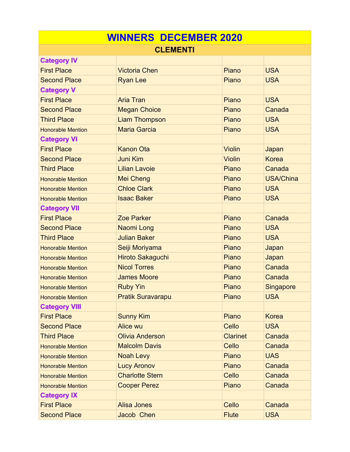| <b>WINNERS DECEMBER 2020</b> |                          |                 |                  |  |  |
|------------------------------|--------------------------|-----------------|------------------|--|--|
| <b>CLEMENTI</b>              |                          |                 |                  |  |  |
| <b>Category IV</b>           |                          |                 |                  |  |  |
| <b>First Place</b>           | <b>Victoria Chen</b>     | Piano           | <b>USA</b>       |  |  |
| <b>Second Place</b>          | <b>Ryan Lee</b>          | Piano           | <b>USA</b>       |  |  |
| <b>Category V</b>            |                          |                 |                  |  |  |
| <b>First Place</b>           | <b>Aria Tran</b>         | Piano           | <b>USA</b>       |  |  |
| <b>Second Place</b>          | <b>Megan Choice</b>      | Piano           | Canada           |  |  |
| <b>Third Place</b>           | <b>Liam Thompson</b>     | Piano           | <b>USA</b>       |  |  |
| <b>Honorable Mention</b>     | <b>Maria Garcia</b>      | Piano           | <b>USA</b>       |  |  |
| <b>Category VI</b>           |                          |                 |                  |  |  |
| <b>First Place</b>           | <b>Kanon Ota</b>         | <b>Violin</b>   | Japan            |  |  |
| <b>Second Place</b>          | <b>Juni Kim</b>          | <b>Violin</b>   | <b>Korea</b>     |  |  |
| <b>Third Place</b>           | <b>Lilian Lavoie</b>     | Piano           | Canada           |  |  |
| <b>Honorable Mention</b>     | <b>Mei Cheng</b>         | Piano           | <b>USA/China</b> |  |  |
| <b>Honorable Mention</b>     | <b>Chloe Clark</b>       | Piano           | <b>USA</b>       |  |  |
| <b>Honorable Mention</b>     | <b>Isaac Baker</b>       | Piano           | <b>USA</b>       |  |  |
| <b>Category VII</b>          |                          |                 |                  |  |  |
| <b>First Place</b>           | <b>Zoe Parker</b>        | Piano           | Canada           |  |  |
| <b>Second Place</b>          | Naomi Long               | Piano           | <b>USA</b>       |  |  |
| <b>Third Place</b>           | <b>Julian Baker</b>      | Piano           | <b>USA</b>       |  |  |
| <b>Honorable Mention</b>     | Seiji Moriyama           | Piano           | Japan            |  |  |
| <b>Honorable Mention</b>     | <b>Hiroto Sakaguchi</b>  | Piano           | Japan            |  |  |
| <b>Honorable Mention</b>     | <b>Nicol Torres</b>      | Piano           | Canada           |  |  |
| <b>Honorable Mention</b>     | <b>James Moore</b>       | Piano           | Canada           |  |  |
| <b>Honorable Mention</b>     | <b>Ruby Yin</b>          | Piano           | Singapore        |  |  |
| <b>Honorable Mention</b>     | <b>Pratik Suravarapu</b> | Piano           | <b>USA</b>       |  |  |
| <b>Category VIII</b>         |                          |                 |                  |  |  |
| <b>First Place</b>           | <b>Sunny Kim</b>         | Piano           | <b>Korea</b>     |  |  |
| <b>Second Place</b>          | <b>Alice wu</b>          | Cello           | <b>USA</b>       |  |  |
| <b>Third Place</b>           | <b>Olivia Anderson</b>   | <b>Clarinet</b> | Canada           |  |  |
| <b>Honorable Mention</b>     | <b>Malcolm Davis</b>     | Cello           | Canada           |  |  |
| <b>Honorable Mention</b>     | <b>Noah Levy</b>         | Piano           | <b>UAS</b>       |  |  |
| <b>Honorable Mention</b>     | <b>Lucy Aronov</b>       | Piano           | Canada           |  |  |
| <b>Honorable Mention</b>     | <b>Charlotte Stern</b>   | Cello           | Canada           |  |  |
| <b>Honorable Mention</b>     | <b>Cooper Perez</b>      | Piano           | Canada           |  |  |
| <b>Category IX</b>           |                          |                 |                  |  |  |
| <b>First Place</b>           | <b>Alisa Jones</b>       | Cello           | Canada           |  |  |
| <b>Second Place</b>          | Jacob Chen               | <b>Flute</b>    | <b>USA</b>       |  |  |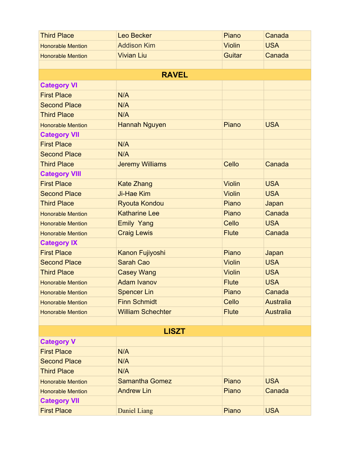| <b>Third Place</b>       | Leo Becker               | Piano         | Canada           |  |  |
|--------------------------|--------------------------|---------------|------------------|--|--|
| <b>Honorable Mention</b> | <b>Addison Kim</b>       | <b>Violin</b> | <b>USA</b>       |  |  |
| <b>Honorable Mention</b> | <b>Vivian Liu</b>        | Guitar        | Canada           |  |  |
|                          |                          |               |                  |  |  |
|                          | <b>RAVEL</b>             |               |                  |  |  |
| <b>Category VI</b>       |                          |               |                  |  |  |
| <b>First Place</b>       | N/A                      |               |                  |  |  |
| <b>Second Place</b>      | N/A                      |               |                  |  |  |
| <b>Third Place</b>       | N/A                      |               |                  |  |  |
| <b>Honorable Mention</b> | <b>Hannah Nguyen</b>     | Piano         | <b>USA</b>       |  |  |
| <b>Category VII</b>      |                          |               |                  |  |  |
| <b>First Place</b>       | N/A                      |               |                  |  |  |
| <b>Second Place</b>      | N/A                      |               |                  |  |  |
| <b>Third Place</b>       | <b>Jeremy Williams</b>   | Cello         | Canada           |  |  |
| <b>Category VIII</b>     |                          |               |                  |  |  |
| <b>First Place</b>       | <b>Kate Zhang</b>        | <b>Violin</b> | <b>USA</b>       |  |  |
| <b>Second Place</b>      | Ji-Hae Kim               | <b>Violin</b> | <b>USA</b>       |  |  |
| <b>Third Place</b>       | <b>Ryouta Kondou</b>     | Piano         | Japan            |  |  |
| <b>Honorable Mention</b> | <b>Katharine Lee</b>     | Piano         | Canada           |  |  |
| <b>Honorable Mention</b> | <b>Emily Yang</b>        | Cello         | <b>USA</b>       |  |  |
| <b>Honorable Mention</b> | <b>Craig Lewis</b>       | <b>Flute</b>  | Canada           |  |  |
| <b>Category IX</b>       |                          |               |                  |  |  |
| <b>First Place</b>       | Kanon Fujiyoshi          | Piano         | Japan            |  |  |
| <b>Second Place</b>      | <b>Sarah Cao</b>         | <b>Violin</b> | <b>USA</b>       |  |  |
| <b>Third Place</b>       | <b>Casey Wang</b>        | <b>Violin</b> | <b>USA</b>       |  |  |
| <b>Honorable Mention</b> | <b>Adam Ivanov</b>       | <b>Flute</b>  | <b>USA</b>       |  |  |
| <b>Honorable Mention</b> | <b>Spencer Lin</b>       | Piano         | Canada           |  |  |
| <b>Honorable Mention</b> | <b>Finn Schmidt</b>      | Cello         | <b>Australia</b> |  |  |
| <b>Honorable Mention</b> | <b>William Schechter</b> | <b>Flute</b>  | <b>Australia</b> |  |  |
|                          |                          |               |                  |  |  |
| <b>LISZT</b>             |                          |               |                  |  |  |
| <b>Category V</b>        |                          |               |                  |  |  |
| <b>First Place</b>       | N/A                      |               |                  |  |  |
| <b>Second Place</b>      | N/A                      |               |                  |  |  |
| <b>Third Place</b>       | N/A                      |               |                  |  |  |
| <b>Honorable Mention</b> | <b>Samantha Gomez</b>    | Piano         | <b>USA</b>       |  |  |
| <b>Honorable Mention</b> | <b>Andrew Lin</b>        | Piano         | Canada           |  |  |
| <b>Category VII</b>      |                          |               |                  |  |  |
| <b>First Place</b>       | <b>Daniel Liang</b>      | Piano         | <b>USA</b>       |  |  |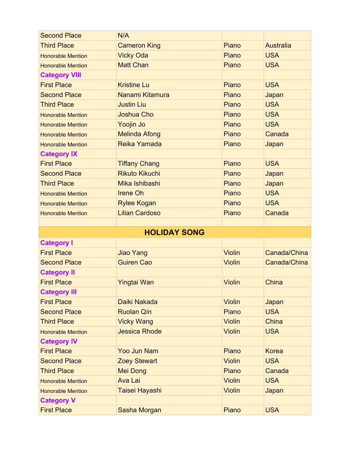| <b>Second Place</b>      | N/A                   |               |                  |
|--------------------------|-----------------------|---------------|------------------|
| <b>Third Place</b>       | <b>Cameron King</b>   | Piano         | <b>Australia</b> |
| <b>Honorable Mention</b> | <b>Vicky Oda</b>      | Piano         | <b>USA</b>       |
| <b>Honorable Mention</b> | <b>Matt Chan</b>      | Piano         | <b>USA</b>       |
| <b>Category VIII</b>     |                       |               |                  |
| <b>First Place</b>       | <b>Kristine Lu</b>    | Piano         | <b>USA</b>       |
| <b>Second Place</b>      | Nanami Kitamura       | Piano         | Japan            |
| <b>Third Place</b>       | <b>Justin Liu</b>     | Piano         | <b>USA</b>       |
| <b>Honorable Mention</b> | Joshua Cho            | Piano         | <b>USA</b>       |
| <b>Honorable Mention</b> | Yoojin Jo             | Piano         | <b>USA</b>       |
| <b>Honorable Mention</b> | <b>Melinda Afong</b>  | Piano         | Canada           |
| <b>Honorable Mention</b> | Reika Yamada          | Piano         | Japan            |
| <b>Category IX</b>       |                       |               |                  |
| <b>First Place</b>       | <b>Tiffany Chang</b>  | Piano         | <b>USA</b>       |
| <b>Second Place</b>      | <b>Rikuto Kikuchi</b> | Piano         | Japan            |
| <b>Third Place</b>       | Mika Ishibashi        | Piano         | Japan            |
| <b>Honorable Mention</b> | <b>Irene Oh</b>       | Piano         | <b>USA</b>       |
| <b>Honorable Mention</b> | <b>Rylee Kogan</b>    | Piano         | <b>USA</b>       |
| <b>Honorable Mention</b> | <b>Lilian Cardoso</b> | Piano         | Canada           |
|                          |                       |               |                  |
|                          |                       |               |                  |
|                          | <b>HOLIDAY SONG</b>   |               |                  |
| <b>Category I</b>        |                       |               |                  |
| <b>First Place</b>       | Jiao Yang             | <b>Violin</b> | Canada/China     |
| <b>Second Place</b>      | <b>Guiren Cao</b>     | <b>Violin</b> | Canada/China     |
| <b>Category II</b>       |                       |               |                  |
| <b>First Place</b>       | <b>Yingtai Wan</b>    | <b>Violin</b> | China            |
| <b>Category III</b>      |                       |               |                  |
| <b>First Place</b>       | Daiki Nakada          | <b>Violin</b> | Japan            |
| <b>Second Place</b>      | <b>Ruolan Qín</b>     | Piano         | <b>USA</b>       |
| <b>Third Place</b>       | <b>Vicky Wang</b>     | <b>Violin</b> | China            |
| <b>Honorable Mention</b> | <b>Jessica Rhode</b>  | <b>Violin</b> | <b>USA</b>       |
| <b>Category IV</b>       |                       |               |                  |
| <b>First Place</b>       | <b>Yoo Jun Nam</b>    | Piano         | <b>Korea</b>     |
| <b>Second Place</b>      | <b>Zoey Stewart</b>   | <b>Violin</b> | <b>USA</b>       |
| <b>Third Place</b>       | <b>Mei Dong</b>       | Piano         | Canada           |
| <b>Honorable Mention</b> | <b>Ava Lai</b>        | <b>Violin</b> | <b>USA</b>       |
| <b>Honorable Mention</b> | Taisei Hayashi        | <b>Violin</b> | Japan            |
| <b>Category V</b>        |                       |               |                  |